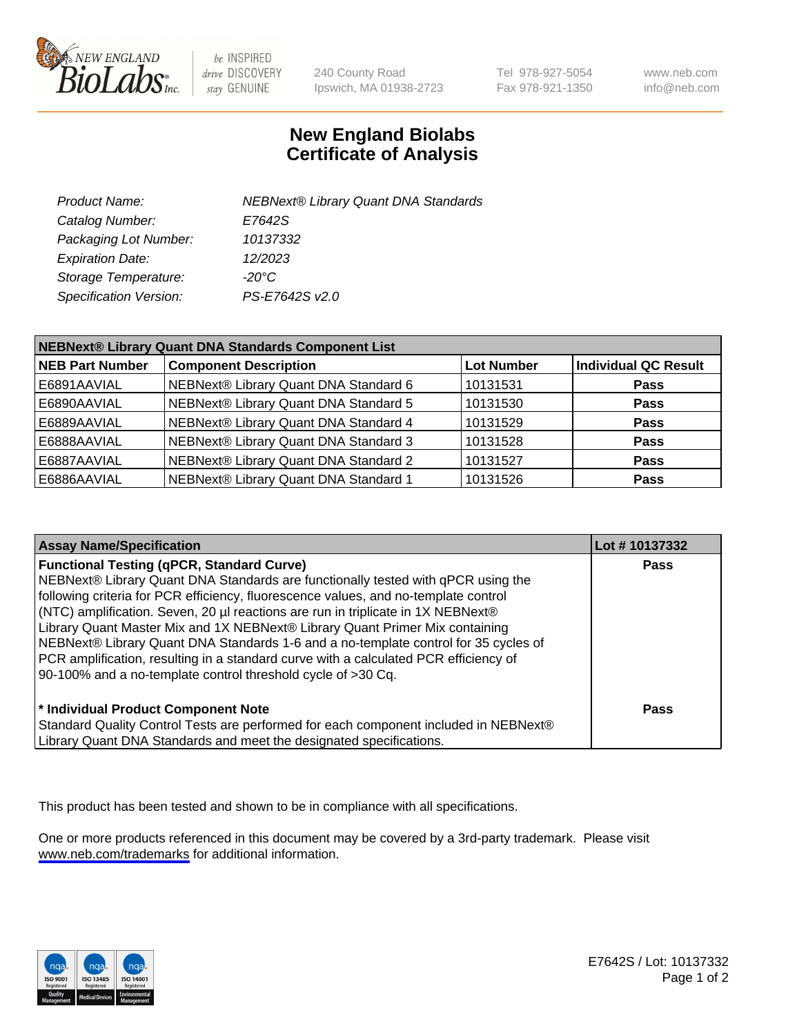

be INSPIRED drive DISCOVERY stay GENUINE

240 County Road Ipswich, MA 01938-2723 Tel 978-927-5054 Fax 978-921-1350

www.neb.com info@neb.com

## **New England Biolabs Certificate of Analysis**

| <b>NEBNext® Library Quant DNA Standards</b> |
|---------------------------------------------|
| E7642S                                      |
| 10137332                                    |
| 12/2023                                     |
| $-20^{\circ}$ C                             |
| PS-E7642S v2.0                              |
|                                             |

| NEBNext® Library Quant DNA Standards Component List |                                       |                   |                             |
|-----------------------------------------------------|---------------------------------------|-------------------|-----------------------------|
| <b>NEB Part Number</b>                              | <b>Component Description</b>          | <b>Lot Number</b> | <b>Individual QC Result</b> |
| E6891AAVIAL                                         | NEBNext® Library Quant DNA Standard 6 | 10131531          | <b>Pass</b>                 |
| E6890AAVIAL                                         | NEBNext® Library Quant DNA Standard 5 | 10131530          | <b>Pass</b>                 |
| E6889AAVIAL                                         | NEBNext® Library Quant DNA Standard 4 | 10131529          | <b>Pass</b>                 |
| E6888AAVIAL                                         | NEBNext® Library Quant DNA Standard 3 | 10131528          | <b>Pass</b>                 |
| E6887AAVIAL                                         | NEBNext® Library Quant DNA Standard 2 | 10131527          | <b>Pass</b>                 |
| E6886AAVIAL                                         | NEBNext® Library Quant DNA Standard 1 | 10131526          | <b>Pass</b>                 |

| <b>Assay Name/Specification</b>                                                                                                                                                                                                                                                                                                                                                                                                                                                                                                                                                                                                                | Lot #10137332 |
|------------------------------------------------------------------------------------------------------------------------------------------------------------------------------------------------------------------------------------------------------------------------------------------------------------------------------------------------------------------------------------------------------------------------------------------------------------------------------------------------------------------------------------------------------------------------------------------------------------------------------------------------|---------------|
| <b>Functional Testing (qPCR, Standard Curve)</b><br>NEBNext® Library Quant DNA Standards are functionally tested with qPCR using the<br>following criteria for PCR efficiency, fluorescence values, and no-template control<br>(NTC) amplification. Seven, 20 µl reactions are run in triplicate in 1X NEBNext®<br>Library Quant Master Mix and 1X NEBNext® Library Quant Primer Mix containing<br>NEBNext® Library Quant DNA Standards 1-6 and a no-template control for 35 cycles of<br>PCR amplification, resulting in a standard curve with a calculated PCR efficiency of<br>90-100% and a no-template control threshold cycle of >30 Cq. | <b>Pass</b>   |
| * Individual Product Component Note<br>Standard Quality Control Tests are performed for each component included in NEBNext®<br>Library Quant DNA Standards and meet the designated specifications.                                                                                                                                                                                                                                                                                                                                                                                                                                             | Pass          |

This product has been tested and shown to be in compliance with all specifications.

One or more products referenced in this document may be covered by a 3rd-party trademark. Please visit <www.neb.com/trademarks>for additional information.